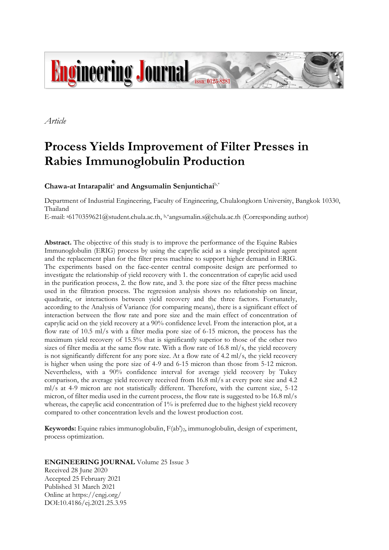

*Article*

# **Process Yields Improvement of Filter Presses in Rabies Immunoglobulin Production**

Chawa-at Intarapalit<sup>a</sup> and Angsumalin Senjuntichai<sup>b,\*</sup>

Department of Industrial Engineering, Faculty of Engineering, Chulalongkorn University, Bangkok 10330, Thailand

E-mail:  $^{86170359621}$ @student.chula.ac.th, b,\*angsumalin.s@chula.ac.th (Corresponding author)

**Abstract.** The objective of this study is to improve the performance of the Equine Rabies Immunoglobulin (ERIG) process by using the caprylic acid as a single precipitated agent and the replacement plan for the filter press machine to support higher demand in ERIG. The experiments based on the face-center central composite design are performed to investigate the relationship of yield recovery with 1. the concentration of caprylic acid used in the purification process, 2. the flow rate, and 3. the pore size of the filter press machine used in the filtration process. The regression analysis shows no relationship on linear, quadratic, or interactions between yield recovery and the three factors. Fortunately, according to the Analysis of Variance (for comparing means), there is a significant effect of interaction between the flow rate and pore size and the main effect of concentration of caprylic acid on the yield recovery at a 90% confidence level. From the interaction plot, at a flow rate of 10.5 ml/s with a filter media pore size of 6-15 micron, the process has the maximum yield recovery of 15.5% that is significantly superior to those of the other two sizes of filter media at the same flow rate. With a flow rate of 16.8 ml/s, the yield recovery is not significantly different for any pore size. At a flow rate of 4.2 ml/s, the yield recovery is higher when using the pore size of 4-9 and 6-15 micron than those from 5-12 micron. Nevertheless, with a 90% confidence interval for average yield recovery by Tukey comparison, the average yield recovery received from 16.8 ml/s at every pore size and 4.2 ml/s at 4-9 micron are not statistically different. Therefore, with the current size, 5-12 micron, of filter media used in the current process, the flow rate is suggested to be 16.8 ml/s whereas, the caprylic acid concentration of 1% is preferred due to the highest yield recovery compared to other concentration levels and the lowest production cost.

**Keywords:** Equine rabies immunoglobulin,  $F(ab')_2$ , immunoglobulin, design of experiment, process optimization.

**ENGINEERING JOURNAL** Volume 25 Issue 3

Received 28 June 2020 Accepted 25 February 2021 Published 31 March 2021 Online at https://engj.org/ DOI:10.4186/ej.2021.25.3.95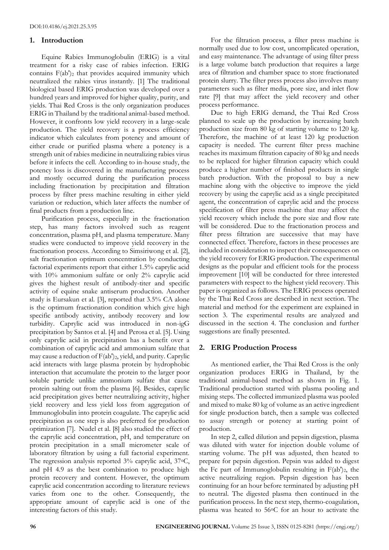### **1. Introduction**

Equine Rabies Immunoglobulin (ERIG) is a vital treatment for a risky case of rabies infection. ERIG contains  $F(ab')_2$  that provides acquired immunity which neutralized the rabies virus instantly. [1] The traditional biological based ERIG production was developed over a hundred years and improved for higher quality, purity, and yields. Thai Red Cross is the only organization produces ERIG in Thailand by the traditional animal-based method. However, it confronts low yield recovery in a large-scale production. The yield recovery is a process efficiency indicator which calculates from potency and amount of either crude or purified plasma where a potency is a strength unit of rabies medicine in neutralizing rabies virus before it infects the cell. According to in-house study, the potency loss is discovered in the manufacturing process and mostly occurred during the purification process including fractionation by precipitation and filtration process by filter press machine resulting in either yield variation or reduction, which later affects the number of final products from a production line.

Purification process, especially in the fractionation step, has many factors involved such as reagent concentration, plasma pH, and plasma temperature. Many studies were conducted to improve yield recovery in the fractionation process. According to Simsiriwong et al. [2], salt fractionation optimum concentration by conducting factorial experiments report that either 1.5% caprylic acid with 10% ammonium sulfate or only 2% caprylic acid gives the highest result of antibody-titer and specific activity of equine snake antiserum production. Another study is Eursakun et al. [3], reported that 3.5% CA alone is the optimum fractionation condition which give high specific antibody activity, antibody recovery and low turbidity. Caprylic acid was introduced in non-igG precipitation by Santos et al. [4] and Perosa et al. [5]. Using only caprylic acid in precipitation has a benefit over a combination of caprylic acid and ammonium sulfate that may cause a reduction of F(ab')2, yield, and purity. Caprylic acid interacts with large plasma protein by hydrophobic interaction that accumulate the protein to the larger poor soluble particle unlike ammonium sulfate that cause protein salting out from the plasma [6]. Besides, caprylic acid precipitation gives better neutralizing activity, higher yield recovery and less yield loss from aggregation of Immunoglobulin into protein coagulate. The caprylic acid precipitation as one step is also preferred for production optimization [7]. Nudel et al. [8] also studied the effect of the caprylic acid concentration, pH, and temperature on protein precipitation in a small micrometer scale of laboratory filtration by using a full factorial experiment. The regression analysis reported 3% caprylic acid, 37◦C, and pH 4.9 as the best combination to produce high protein recovery and content. However, the optimum caprylic acid concentration according to literature reviews varies from one to the other. Consequently, the appropriate amount of caprylic acid is one of the interesting factors of this study.

For the filtration process, a filter press machine is normally used due to low cost, uncomplicated operation, and easy maintenance. The advantage of using filter press is a large volume batch production that requires a large area of filtration and chamber space to store fractionated protein slurry. The filter press process also involves many parameters such as filter media, pore size, and inlet flow rate [9] that may affect the yield recovery and other process performance.

Due to high ERIG demand, the Thai Red Cross planned to scale up the production by increasing batch production size from 80 kg of starting volume to 120 kg. Therefore, the machine of at least 120 kg production capacity is needed. The current filter press machine reaches its maximum filtration capacity of 80 kg and needs to be replaced for higher filtration capacity which could produce a higher number of finished products in single batch production. With the proposal to buy a new machine along with the objective to improve the yield recovery by using the caprylic acid as a single precipitated agent, the concentration of caprylic acid and the process specification of filter press machine that may affect the yield recovery which include the pore size and flow rate will be considered. Due to the fractionation process and filter press filtration are successive that may have connected effect. Therefore, factors in these processes are included in consideration to inspect their consequences on the yield recovery for ERIG production. The experimental designs as the popular and efficient tools for the process improvement [10] will be conducted for three interested parameters with respect to the highest yield recovery. This paper is organized as follows. The ERIG process operated by the Thai Red Cross are described in next section. The material and method for the experiment are explained in section 3. The experimental results are analyzed and discussed in the section 4. The conclusion and further suggestions are finally presented.

# **2. ERIG Production Process**

As mentioned earlier, the Thai Red Cross is the only organization produces ERIG in Thailand, by the traditional animal-based method as shown in Fig. 1. Traditional production started with plasma pooling and mixing steps. The collected immunized plasma was pooled and mixed to make 80 kg of volume as an active ingredient for single production batch, then a sample was collected to assay strength or potency at starting point of production.

In step 2, called dilution and pepsin digestion, plasma was diluted with water for injection double volume of starting volume. The pH was adjusted, then heated to prepare for pepsin digestion. Pepsin was added to digest the Fc part of Immunoglobulin resulting in  $F(ab')_2$ , the active neutralizing region. Pepsin digestion has been continuing for an hour before terminated by adjusting pH to neutral. The digested plasma then continued in the purification process. In the next step, thermo-coagulation, plasma was heated to 56◦C for an hour to activate the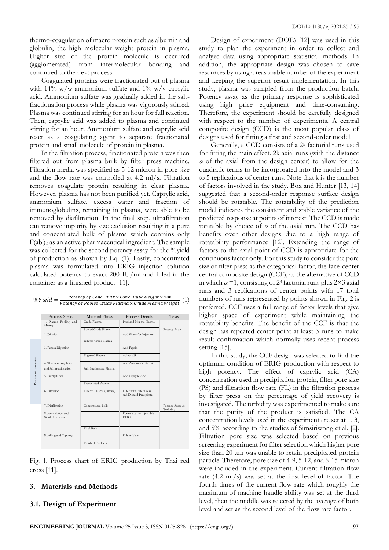thermo-coagulation of macro protein such as albumin and globulin, the high molecular weight protein in plasma. Higher size of the protein molecule is occurred (agglomerated) from intermolecular bonding and continued to the next process.

Coagulated proteins were fractionated out of plasma with 14% w/w ammonium sulfate and 1% w/v caprylic acid. Ammonium sulfate was gradually added in the saltfractionation process while plasma was vigorously stirred. Plasma was continued stirring for an hour for full reaction. Then, caprylic acid was added to plasma and continued stirring for an hour. Ammonium sulfate and caprylic acid react as a coagulating agent to separate fractionated protein and small molecule of protein in plasma.

In the filtration process, fractionated protein was then filtered out from plasma bulk by filter press machine. Filtration media was specified as 5-12 micron in pore size and the flow rate was controlled at 4.2 ml/s. Filtration removes coagulate protein resulting in clear plasma. However, plasma has not been purified yet. Caprylic acid, ammonium sulfate, excess water and fraction of immunoglobulins, remaining in plasma, were able to be removed by diafiltration. In the final step, ultrafiltration can remove impurity by size exclusion resulting in a pure and concentrated bulk of plasma which contains only  $F(ab')_2$  as an active pharmaceutical ingredient. The sample was collected for the second potency assay for the %yield of production as shown by Eq. (1). Lastly, concentrated plasma was formulated into ERIG injection solution calculated potency to exact 200 IU/ml and filled in the container as a finished product [11].

| $\%Yield =$ | Potency of Conc. Bulk $\times$ Conc. Bulk Weight $\times$ 100   |  |
|-------------|-----------------------------------------------------------------|--|
|             | Potency of Pooled Crude Plasma $\times$ Crude Plasma Weight (1) |  |

|                        | Process Steps                            | <b>Material Flows</b>      | Process Details                                     | Tests                        |
|------------------------|------------------------------------------|----------------------------|-----------------------------------------------------|------------------------------|
|                        | 1. Plasma Pooling and<br>Mixing          | Crude Plasma               | Pool and Mix the Plasma                             |                              |
|                        |                                          | Pooled Crude Plasma        |                                                     | Potency Assay                |
|                        | 2. Dilution                              |                            | Add Water for Injection                             |                              |
|                        |                                          | Diluted Crude Plasma       |                                                     |                              |
|                        | 3. Pepsin Digestion                      |                            | Add Pepsin                                          |                              |
|                        |                                          | Digested Plasma            | Adjust pH                                           |                              |
|                        | 4. Thermo-coagulation                    |                            | Add Ammonium Sulfate                                |                              |
|                        | and Salt fractionation.                  | Salt-fractionated Plasma   |                                                     |                              |
| Punification Processes | 5. Precipitation                         |                            | Add Caprylic Acid                                   |                              |
|                        |                                          | Precipitated Plasma        |                                                     |                              |
|                        | 6. Filtration                            | Filtered Plasma (Filtrate) | Filter with Filter Press<br>and Discard Precipitate |                              |
|                        |                                          |                            |                                                     |                              |
|                        | 7. Diafiltration                         | Concentrated Bulk          |                                                     | Potency Assay &<br>Turbidity |
|                        | 8. Formulation and<br>Sterile Filtration |                            | Formulate the Injectable<br><b>ERIG</b>             |                              |
|                        |                                          | Final Bulk                 |                                                     |                              |
|                        | 9. Filling and Capping                   |                            | Fills in Vials.                                     |                              |
|                        |                                          | <b>Finished Products</b>   |                                                     |                              |

Fig. 1. Process chart of ERIG production by Thai red cross [11].

#### **3. Materials and Methods**

#### **3.1. Design of Experiment**

Design of experiment (DOE) [12] was used in this study to plan the experiment in order to collect and analyze data using appropriate statistical methods. In addition, the appropriate design was chosen to save resources by using a reasonable number of the experiment and keeping the superior result implementation. In this study, plasma was sampled from the production batch. Potency assay as the primary response is sophisticated using high price equipment and time-consuming. Therefore, the experiment should be carefully designed with respect to the number of experiments. A central composite design (CCD) is the most popular class of designs used for fitting a first and second-order model.

Generally, a CCD consists of a  $2<sup>k</sup>$  factorial runs used for fitting the main effect. 2k axial runs (with the distance  $\alpha$  of the axial from the design center) to allow for the quadratic terms to be incorporated into the model and 3 to 5 replications of center runs. Note that k is the number of factors involved in the study. Box and Hunter [13, 14] suggested that a second-order response surface design should be rotatable. The rotatability of the prediction model indicates the consistent and stable variance of the predicted response at points of interest. The CCD is made rotatable by choice of  $\alpha$  of the axial run. The CCD has benefits over other designs due to a high range of rotatability performance [12]. Extending the range of factors to the axial point of CCD is appropriate for the continuous factor only. For this study to consider the pore size of filter press as the categorical factor, the face-center central composite design (CCF), as the alternative of CCD in which  $\alpha =1$ , consisting of 2<sup>3</sup> factorial runs plus 2×3 axial runs and 3 replications of center points with 17 total numbers of runs represented by points shown in Fig. 2 is preferred. CCF uses a full range of factor levels that give higher space of experiment while maintaining the rotatability benefits. The benefit of the CCF is that the design has repeated center point at least 3 runs to make result confirmation which normally uses recent process setting [15].

In this study, the CCF design was selected to find the optimum condition of ERIG production with respect to high potency. The effect of caprylic acid (CA) concentration used in precipitation protein, filter pore size (PS) and filtration flow rate (FL) in the filtration process by filter press on the percentage of yield recovery is investigated. The turbidity was experimented to make sure that the purity of the product is satisfied. The CA concentration levels used in the experiment are set at 1, 3, and 5% according to the studies of Simsiriwong et al. [2]. Filtration pore size was selected based on previous screening experiment for filter selection which higher pore size than 20  $\mu$ m was unable to retain precipitated protein particle. Therefore, pore size of 4-9, 5-12, and 6-15 micron were included in the experiment. Current filtration flow rate (4.2 ml/s) was set at the first level of factor. The fourth times of the current flow rate which roughly the maximum of machine handle ability was set at the third level, then the middle was selected by the average of both level and set as the second level of the flow rate factor.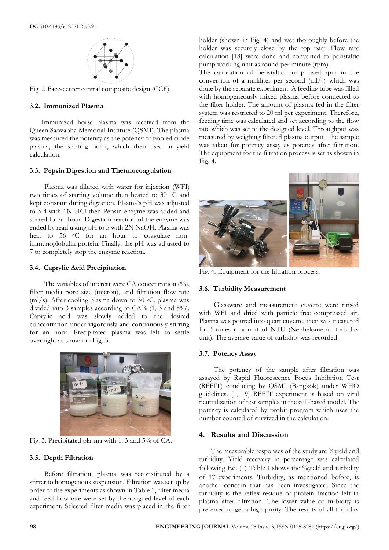

Fig. 2. Face-center central composite design (CCF).

#### **3.2. Immunized Plasma**

Immunized horse plasma was received from the Queen Saovabha Memorial Institute (QSMI). The plasma was measured the potency as the potency of pooled crude plasma, the starting point, which then used in yield calculation.

#### **3.3. Pepsin Digestion and Thermocoagulation**

Plasma was diluted with water for injection (WFI) two times of starting volume then heated to 30 ◦C and kept constant during digestion. Plasma's pH was adjusted to 3-4 with 1N HCl then Pepsin enzyme was added and stirred for an hour. Digestion reaction of the enzyme was ended by readjusting pH to 5 with 2N NaOH. Plasma was heat to 56 ℃ for an hour to coagulate nonimmunoglobulin protein. Finally, the pH was adjusted to 7 to completely stop the enzyme reaction.

#### **3.4. Caprylic Acid Precipitation**

The variables of interest were CA concentration  $(%)$ , filter media pore size (micron), and filtration flow rate (ml/s). After cooling plasma down to 30  $\circ$ C, plasma was divided into 3 samples according to CA%  $(1, 3 \text{ and } 5\%)$ . Caprylic acid was slowly added to the desired concentration under vigorously and continuously stirring for an hour. Precipitated plasma was left to settle overnight as shown in Fig. 3.



Fig. 3. Precipitated plasma with 1, 3 and 5% of CA.

#### **3.5. Depth Filtration**

Before filtration, plasma was reconstituted by a stirrer to homogenous suspension. Filtration was set up by order of the experiments as shown in Table 1, filter media and feed flow rate were set by the assigned level of each experiment. Selected filter media was placed in the filter holder (shown in Fig. 4) and wet thoroughly before the holder was securely close by the top part. Flow rate calculation [18] were done and converted to peristaltic pump working unit as round per minute (rpm).

The calibration of peristaltic pump used rpm in the conversion of a milliliter per second (ml/s) which was done by the separate experiment. A feeding tube was filled with homogeneously mixed plasma before connected to the filter holder. The amount of plasma fed in the filter system was restricted to 20 ml per experiment. Therefore, feeding time was calculated and set according to the flow rate which was set to the designed level. Throughput was measured by weighing filtered plasma output. The sample was taken for potency assay as potency after filtration. The equipment for the filtration process is set as shown in Fig. 4.



Fig. 4. Equipment for the filtration process.

# **3.6. Turbidity Measurement**

Glassware and measurement cuvette were rinsed with WFI and dried with particle free compressed air. Plasma was poured into quart cuvette, then was measured for 5 times in a unit of NTU (Nephelometric turbidity unit). The average value of turbidity was recorded.

#### **3.7. Potency Assay**

The potency of the sample after filtration was assayed by Rapid Fluorescence Focus Inhibition Test (RFFIT) conducing by QSMI (Bangkok) under WHO guidelines. [1, 19] RFFIT experiment is based on viral neutralization of test samples in the cell-based model. The potency is calculated by probit program which uses the number counted of survived in the calculation.

# **4. Results and Discussion**

The measurable responses of the study are %yield and turbidity. Yield recovery in percentage was calculated following Eq.  $(1)$ . Table 1 shows the %yield and turbidity of 17 experiments. Turbidity, as mentioned before, is another concern that has been investigated. Since the turbidity is the reflex residue of protein fraction left in plasma after filtration. The lower value of turbidity is preferred to get a high purity. The results of all turbidity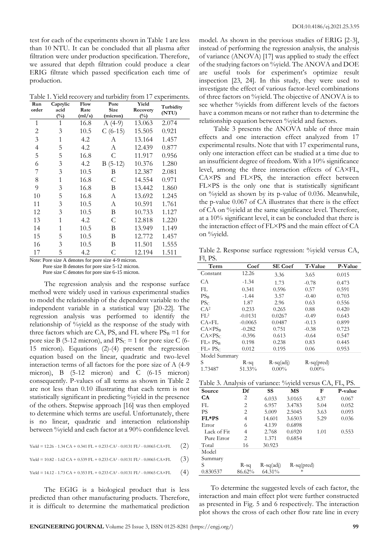test for each of the experiments shown in Table 1 are less than 10 NTU. It can be concluded that all plasma after filtration were under production specification. Therefore, we assured that depth filtration could produce a clear ERIG filtrate which passed specification each time of production.

Table 1. Yield recovery and turbidity from 17 experiments.

| Run   | Flow<br>Caprylic |                | Pore        | Yield              | Turbidity |
|-------|------------------|----------------|-------------|--------------------|-----------|
| order | acid<br>$(\%)$   | Rate<br>(ml/s) | <b>Size</b> | Recovery<br>$(\%)$ | (NTU)     |
|       |                  |                | (micron)    |                    |           |
| 1     | 1                | 16.8           | $A(4-9)$    | 13.063             | 2.074     |
| 2     | 3                | 10.5           | $C(6-15)$   | 15.505             | 0.921     |
| 3     | 1                | 4.2            | А           | 13.164             | 1.457     |
| 4     | 5                | 4.2            | A           | 12.439             | 0.877     |
| 5     | 5                | 16.8           | C           | 11.917             | 0.956     |
| 6     | 3                | 4.2            | $B(5-12)$   | 10.376             | 1.280     |
| 7     | 3                | 10.5           | В           | 12.387             | 2.081     |
| 8     | 1                | 16.8           | C           | 14.554             | 0.971     |
| 9     | 3                | 16.8           | B           | 13.442             | 1.860     |
| 10    | 5                | 16.8           | А           | 13.692             | 1.245     |
| 11    | 3                | 10.5           | А           | 10.591             | 1.761     |
| 12    | 3                | 10.5           | Β           | 10.733             | 1.127     |
| 13    | 1                | 4.2            | C           | 12.818             | 1.220     |
| 14    | 1                | 10.5           | В           | 13.949             | 1.149     |
| 15    | 5                | 10.5           | В           | 12.772             | 1.457     |
| 16    | 3                | 10.5           | В           | 11.501             | 1.555     |
| 17    | 5                | 4.2            | С           | 12.194             | 1.511     |

Note: Pore size A denotes for pore size 4-9 micron.

Pore size C denotes for pore size 6-15 micron.

The regression analysis and the response surface method were widely used in various experimental studies to model the relationship of the dependent variable to the independent variable in a statistical way [20-22]. The regression analysis was performed to identify the relationship of %yield as the response of the study with three factors which are CA, PS, and FL where  $PS_B = 1$  for pore size B (5-12 micron), and  $PS_C = 1$  for pore size C (6-15 micron). Equations (2)-(4) present the regression equation based on the linear, quadratic and two-level interaction terms of all factors for the pore size of A (4-9 micron), B (5-12 micron) and C (6-15 micron) consequently. P-values of all terms as shown in Table 2 are not less than 0.10 illustrating that each term is not statistically significant in predicting %yield in the presence of the others. Stepwise approach [16] was then employed to determine which terms are useful. Unfortunately, there is no linear, quadratic and interaction relationship between %yield and each factor at a 90% confidence level.

|  | Yield = $12.26 - 1.34 CA + 0.341 FL + 0.233 CA^2 - 0.0131 FL^2 - 0.0065 CA \times FL$ | (2) |  |  |
|--|---------------------------------------------------------------------------------------|-----|--|--|
|--|---------------------------------------------------------------------------------------|-----|--|--|

Yield = 10.82 - 1.62 CA + 0.539 FL + 0.233 CA<sup>2</sup> - 0.0131 FL<sup>2</sup> - 0.0065 CA×FL (3)

Yield = 14.12 - 1.73 CA + 0.353 FL + 0.233 CA<sup>2</sup> - 0.0131 FL<sup>2</sup> - 0.0065 CA×FL (4)

The EGIG is a biological product that is less predicted than other manufacturing products. Therefore, it is difficult to determine the mathematical prediction model. As shown in the previous studies of ERIG [2-3], instead of performing the regression analysis, the analysis of variance (ANOVA) [17] was applied to study the effect of the studying factors on %yield. The ANOVA and DOE are useful tools for experiment's optimize result inspection [23, 24]. In this study, they were used to investigate the effect of various factor-level combinations of three factors on %yield. The objective of ANOVA is to see whether %yields from different levels of the factors have a common means or not rather than to determine the relationship equation between %yield and factors.

Table 3 presents the ANOVA table of three main effects and one interaction effect analyzed from 17 experimental results. Note that with 17 experimental runs, only one interaction effect can be studied at a time due to an insufficient degree of freedom. With a 10% significance level, among the three interaction effects of CA×FL, CA×PS and FL×PS, the interaction effect between FL×PS is the only one that is statistically significant on %yield as shown by its p-value of 0.036. Meanwhile, the p-value 0.067 of CA illustrates that there is the effect of CA on %yield at the same significance level. Therefore, at a 10% significant level, it can be concluded that there is the interaction effect of FL×PS and the main effect of CA on %yield.

Table 2. Response surface regression: %yield versus CA, Fl, PS.

| Term               | Coef      | <b>SE</b> Coef | T-Value       | P-Value |
|--------------------|-----------|----------------|---------------|---------|
| Constant           | 12.26     | 3.36           | 3.65          | 0.015   |
| CА                 | $-1.34$   | 1.73           | $-0.78$       | 0.473   |
| FL.                | 0.341     | 0.596          | 0.57          | 0.591   |
| $PS_{B}$           | $-1.44$   | 3.57           | $-0.40$       | 0.703   |
| PSC                | 1.87      | 2.96           | 0.63          | 0.556   |
| CA <sup>2</sup>    | 0.233     | 0.265          | 0.88          | 0.420   |
| FI <sup>2</sup>    | $-0.0131$ | 0.0267         | $-0.49$       | 0.643   |
| $C A \times F L$   | $-0.0065$ | 0.0487         | $-0.13$       | 0.899   |
| $CAXPS_B$          | $-0.282$  | 0.751          | $-0.38$       | 0.723   |
| CAXPSc             | $-0.396$  | 0.613          | $-0.64$       | 0.547   |
| $FL \times PS_{B}$ | 0.198     | 0.238          | 0.83          | 0.445   |
| $FL \times PSC$    | 0.012     | 0.195          | 0.06          | 0.953   |
| Model Summary      |           |                |               |         |
| S                  | R-sq      | $R-sq(adj)$    | $R$ -sq(pred) |         |
| 1.73487            | 51.33%    | $0.00\%$       | $0.00\%$      |         |

| Table 3. Analysis of variance: %yield versus CA, FL, PS. |        |             |              |      |         |  |  |
|----------------------------------------------------------|--------|-------------|--------------|------|---------|--|--|
| Source                                                   | Df     | SS          | <b>MS</b>    | F    | P-value |  |  |
| <b>CA</b>                                                | 2      | 6.033       | 3.0165       | 4.37 | 0.067   |  |  |
| FL.                                                      | 2      | 6.957       | 3.4783       | 5.04 | 0.052   |  |  |
| <b>PS</b>                                                | 2      | 5.009       | 2.5045       | 3.63 | 0.093   |  |  |
| FL*PS                                                    | 4      | 14.601      | 3.6503       | 5.29 | 0.036   |  |  |
| Error                                                    | 6      | 4.139       | 0.6898       |      |         |  |  |
| Lack of Fit                                              | 4      | 2.768       | 0.6920       | 1.01 | 0.553   |  |  |
| Pure Error                                               | 2      | 1.371       | 0.6854       |      |         |  |  |
| Total                                                    | 16     | 30.923      |              |      |         |  |  |
| Model                                                    |        |             |              |      |         |  |  |
| Summary                                                  |        |             |              |      |         |  |  |
| S                                                        | R-sq   | $R-sq(adi)$ | $R-sq(pred)$ |      |         |  |  |
| 0.830537                                                 | 86.62% | 64.31%      | $^\ast$      |      |         |  |  |

To determine the suggested levels of each factor, the interaction and main effect plot were further constructed as presented in Fig. 5 and 6 respectively. The interaction plot shows the cross of each other flow rate line in every

Pore size B denotes for pore size 5-12 micron.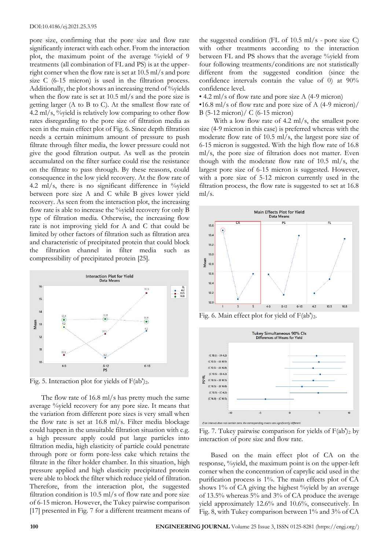pore size, confirming that the pore size and flow rate significantly interact with each other. From the interaction plot, the maximum point of the average %yield of 9 treatments (all combination of FL and PS) is at the upperright corner when the flow rate is set at 10.5 ml/s and pore size C (6-15 micron) is used in the filtration process. Additionally, the plot shows an increasing trend of %yields when the flow rate is set at 10.5 ml/s and the pore size is getting larger (A to B to C). At the smallest flow rate of 4.2 ml/s,  $\frac{6}{3}$  vield is relatively low comparing to other flow rates disregarding to the pore size of filtration media as seen in the main effect plot of Fig. 6. Since depth filtration needs a certain minimum amount of pressure to push filtrate through filter media, the lower pressure could not give the good filtration output. As well as the protein accumulated on the filter surface could rise the resistance on the filtrate to pass through. By these reasons, could consequence in the low yield recovery. At the flow rate of 4.2 ml/s, there is no significant difference in  $\%$  yield between pore size A and C while B gives lower yield recovery. As seen from the interaction plot, the increasing flow rate is able to increase the %yield recovery for only B type of filtration media. Otherwise, the increasing flow rate is not improving yield for A and C that could be limited by other factors of filtration such as filtration area and characteristic of precipitated protein that could block the filtration channel in filter media such compressibility of precipitated protein [25].



Fig. 5. Interaction plot for yields of  $F(ab')_2$ .

The flow rate of 16.8 ml/s has pretty much the same average %yield recovery for any pore size. It means that the variation from different pore sizes is very small when the flow rate is set at 16.8 ml/s. Filter media blockage could happen in the unsuitable filtration situation with e.g. a high pressure apply could put large particles into filtration media, high elasticity of particle could penetrate through pore or form pore-less cake which retains the filtrate in the filter holder chamber. In this situation, high pressure applied and high elasticity precipitated protein were able to block the filter which reduce yield of filtration. Therefore, from the interaction plot, the suggested filtration condition is 10.5 ml/s of flow rate and pore size of 6-15 micron. However, the Tukey pairwise comparison [17] presented in Fig. 7 for a different treatment means of

the suggested condition (FL of 10.5 ml/s - pore size C) with other treatments according to the interaction between FL and PS shows that the average %yield from four following treatments/conditions are not statistically different from the suggested condition (since the confidence intervals contain the value of 0) at 90% confidence level.

• 4.2 ml/s of flow rate and pore size A (4-9 micron)

•16.8 ml/s of flow rate and pore size of A (4-9 micron)/ B (5-12 micron)/ C (6-15 micron)

With a low flow rate of 4.2 ml/s, the smallest pore size (4-9 micron in this case) is preferred whereas with the moderate flow rate of 10.5 ml/s, the largest pore size of 6-15 micron is suggested. With the high flow rate of 16.8 ml/s, the pore size of filtration does not matter. Even though with the moderate flow rate of 10.5 ml/s, the largest pore size of 6-15 micron is suggested. However, with a pore size of 5-12 micron currently used in the filtration process, the flow rate is suggested to set at 16.8 ml/s.



Fig. 6. Main effect plot for yield of F(ab')<sub>2</sub>.



Fig. 7. Tukey pairwise comparison for yields of  $F(ab')_2$  by interaction of pore size and flow rate.

Based on the main effect plot of CA on the response, %yield, the maximum point is on the upper-left corner when the concentration of caprylic acid used in the purification process is 1%. The main effects plot of CA shows 1% of CA giving the highest %yield by an average of 13.5% whereas 5% and 3% of CA produce the average yield approximately 12.6% and 10.6%, consecutively. In Fig. 8, with Tukey comparison between 1% and 3% of CA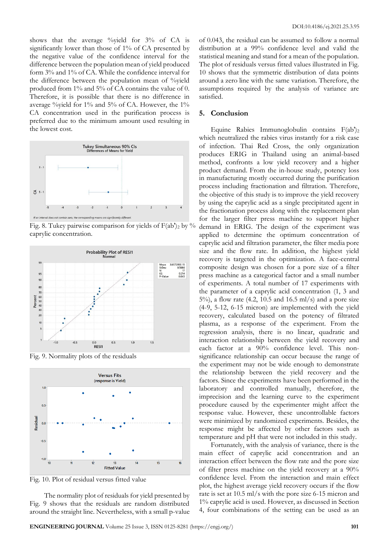shows that the average %yield for 3% of CA is significantly lower than those of 1% of CA presented by the negative value of the confidence interval for the difference between the population mean of yield produced form 3% and 1% of CA. While the confidence interval for the difference between the population mean of %yield produced from 1% and 5% of CA contains the value of 0. Therefore, it is possible that there is no difference in average %yield for 1% and 5% of CA. However, the 1% CA concentration used in the purification process is preferred due to the minimum amount used resulting in the lowest cost.



Fig. 8. Tukey pairwise comparison for yields of  $F(ab)_{2}$  by % caprylic concentration.



Fig. 9. Normality plots of the residuals



Fig. 10. Plot of residual versus fitted value

The normality plot of residuals for yield presented by Fig. 9 shows that the residuals are random distributed around the straight line. Nevertheless, with a small p-value of 0.043, the residual can be assumed to follow a normal distribution at a 99% confidence level and valid the statistical meaning and stand for a mean of the population. The plot of residuals versus fitted values illustrated in Fig. 10 shows that the symmetric distribution of data points around a zero line with the same variation. Therefore, the assumptions required by the analysis of variance are satisfied.

#### **5. Conclusion**

Equine Rabies Immunoglobulin contains  $F(ab')_2$ which neutralized the rabies virus instantly for a risk case of infection. Thai Red Cross, the only organization produces ERIG in Thailand using an animal-based method, confronts a low yield recovery and a higher product demand. From the in-house study, potency loss in manufacturing mostly occurred during the purification process including fractionation and filtration. Therefore, the objective of this study is to improve the yield recovery by using the caprylic acid as a single precipitated agent in the fractionation process along with the replacement plan for the larger filter press machine to support higher demand in ERIG. The design of the experiment was applied to determine the optimum concentration of caprylic acid and filtration parameter, the filter media pore size and the flow rate. In addition, the highest yield recovery is targeted in the optimization. A face-central composite design was chosen for a pore size of a filter press machine as a categorical factor and a small number of experiments. A total number of 17 experiments with the parameter of a caprylic acid concentration (1, 3 and 5%), a flow rate  $(4.2, 10.5 \text{ and } 16.5 \text{ ml/s})$  and a pore size (4-9, 5-12, 6-15 micron) are implemented with the yield recovery, calculated based on the potency of filtrated plasma, as a response of the experiment. From the regression analysis, there is no linear, quadratic and interaction relationship between the yield recovery and each factor at a 90% confidence level. This nonsignificance relationship can occur because the range of the experiment may not be wide enough to demonstrate the relationship between the yield recovery and the factors. Since the experiments have been performed in the laboratory and controlled manually, therefore, the imprecision and the learning curve to the experiment procedure caused by the experimenter might affect the response value. However, these uncontrollable factors were minimized by randomized experiments. Besides, the response might be affected by other factors such as temperature and pH that were not included in this study.

Fortunately, with the analysis of variance, there is the main effect of caprylic acid concentration and an interaction effect between the flow rate and the pore size of filter press machine on the yield recovery at a 90% confidence level. From the interaction and main effect plot, the highest average yield recovery occurs if the flow rate is set at 10.5 ml/s with the pore size 6-15 micron and 1% caprylic acid is used. However, as discussed in Section 4, four combinations of the setting can be used as an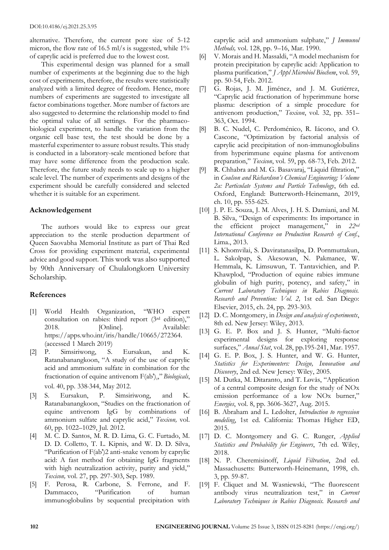alternative. Therefore, the current pore size of 5-12 micron, the flow rate of 16.5 ml/s is suggested, while 1% of caprylic acid is preferred due to the lowest cost.

This experimental design was planned for a small number of experiments at the beginning due to the high cost of experiments, therefore, the results were statistically analyzed with a limited degree of freedom. Hence, more numbers of experiments are suggested to investigate all factor combinations together. More number of factors are also suggested to determine the relationship model to find the optimal value of all settings. For the pharmacobiological experiment, to handle the variation from the organic cell base test, the test should be done by a masterful experimenter to assure robust results. This study is conducted in a laboratory-scale mentioned before that may have some difference from the production scale. Therefore, the future study needs to scale up to a higher scale level. The number of experiments and designs of the experiment should be carefully considered and selected whether it is suitable for an experiment.

#### **Acknowledgement**

The authors would like to express our great appreciation to the sterile production department of Queen Saovabha Memorial Institute as part of Thai Red Cross for providing experiment material, experimental advice and good support. This work was also supported by 90th Anniversary of Chulalongkorn University Scholarship.

# **References**

- [1] World Health Organization, "WHO expert consultation on rabies: third report (3rd edition)," 2018. [Online]. Available: https://apps.who.int/iris/handle/10665/272364. (accessed 1 March 2019)
- [2] P. Simsiriwong, S. Eursakun, and K. Ratanabanangkoon, "A study of the use of caprylic acid and ammonium sulfate in combination for the fractionation of equine antivenom F(ab')<sub>2</sub>," *Biologicals*, vol. 40, pp. 338-344, May 2012.
- [3] S. Eursakun, P. Simsiriwong, and K. Ratanabanangkoon, "Studies on the fractionation of equine antivenom IgG by combinations of ammonium sulfate and caprylic acid," *Toxicon,* vol. 60, pp. 1022–1029, Jul. 2012.
- [4] M. C. D. Santos, M. R. D. Lima, G. C. Furtado, M. D. D. Colletto, T. L. Kipnis, and W. D. D. Silva, "Purification of F(ab')2 anti-snake venom by caprylic acid: A fast method for obtaining IgG fragments with high neutralization activity, purity and yield," *Toxicon,* vol. 27, pp. 297-303, Sep. 1989.
- [5] F. Perosa, R. Carbone, S. Ferrone, and F. Dammacco, "Purification of human immunoglobulins by sequential precipitation with

caprylic acid and ammonium sulphate," *J Immunol Methods,* vol. 128, pp. 9–16, Mar. 1990.

- [6] V. Morais and H. Massaldi, "A model mechanism for protein precipitation by caprylic acid: Application to plasma purification," *J Appl Microbiol Biochem*, vol. 59, pp. 50-54, Feb. 2012.
- [7] G. Rojas, J. M. Jiménez, and J. M. Gutiérrez, "Caprylic acid fractionation of hyperimmune horse plasma: description of a simple procedure for antivenom production," *Toxicon*, vol. 32, pp. 351– 363, Oct. 1994.
- [8] B. C. Nudel, C. Perdoménico, R. Iácono, and O. Cascone, "Optimization by factorial analysis of caprylic acid precipitation of non-immunoglobulins from hyperimmune equine plasma for antivenom preparation," *Toxicon*, vol. 59, pp. 68-73, Feb. 2012.
- [9] R. Chhabra and M. G. Basavaraj, "Liquid filtration," in *Coulson and Richardson's Chemical Engineering; Volume 2a: Particulate Systems and Particle Technology*, 6th ed. Oxford, England: Butterworth-Heinemann, 2019, ch. 10, pp. 555-625.
- [10] J. P. E. Souza, J. M. Alves, J. H. S. Damiani, and M. B. Silva, "Design of experiments: Its importance in the efficient project management," in *22nd International Conference on Production Research of Conf.*, Lima., 2013.
- [11] S. Khomvilai, S. Daviratanasilpa, D. Pornmuttakun, L. Sakolpap, S. Akesowan, N. Pakmanee, W. Hemmala, K. Limsuwun, T. Tantavichien, and P. Khawplod, "Production of equine rabies immune globulin of high purity, potency, and safety," in *Current Laboratory Techniques in Rabies Diagnosis. Research and Prevention: Vol. 2,* 1st ed. San Diego: Elsevier, 2015, ch. 24, pp. 293-303.
- [12] D. C. Montgomery, in *Design and analysis of experiments*, 8th ed. New Jersey: Wiley, 2013.
- [13] G. E. P. Box and J. S. Hunter, "Multi-factor experimental designs for exploring response surfaces," *Annal Stat*, vol. 28, pp.195-241, Mar. 1957.
- [14] G. E. P. Box, J. S. Hunter, and W. G. Hunter, *Statistics for Experimenters: Design, Innovation and Discovery*, 2nd ed. New Jersey: Wiley, 2005.
- [15] M. Dutka, M. Ditaranto, and T. Løvås, "Application of a central composite design for the study of NOx emission performance of a low NOx burner," *Energies*, vol. 8, pp. 3606-3627, Aug. 2015.
- [16] B. Abraham and L. Ledolter, *Introduction to regression modeling*, 1st ed. California: Thomas Higher ED, 2015.
- [17] D. C. Montgomery and G. C. Runger, *Applied Statistics and Probability for Engineers*, 7th ed. Wiley, 2018.
- [18] N. P. Cheremisinoff, *Liquid Filtration*, 2nd ed. Massachusetts: Butterworth-Heinemann, 1998, ch. 3, pp. 59-87.
- [19] F. Cliquet and M. Wasniewski, "The fluorescent antibody virus neutralization test," in *Current Laboratory Techniques in Rabies Diagnosis. Research and*